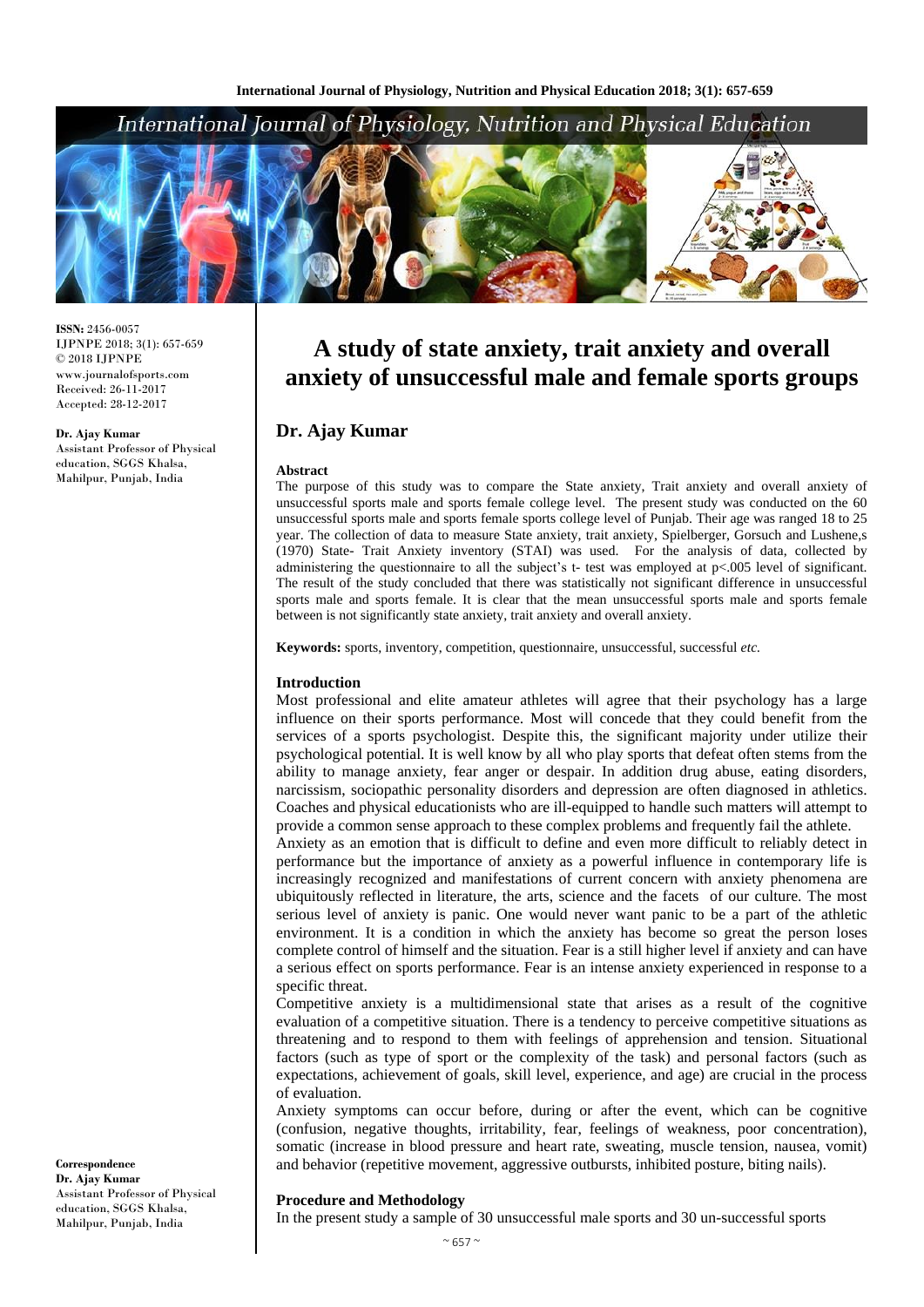# International Journal of Physiology, Nutrition and Physical Education



**ISSN:** 2456-0057 IJPNPE 2018; 3(1): 657-659  $\odot$  2018 IJPNPE www.journalofsports.com Received: 26-11-2017 Accepted: 28-12-2017

**Dr. Ajay Kumar** Assistant Professor of Physical education, SGGS Khalsa, Mahilpur, Punjab, India

# **A study of state anxiety, trait anxiety and overall anxiety of unsuccessful male and female sports groups**

# **Dr. Ajay Kumar**

#### **Abstract**

The purpose of this study was to compare the State anxiety, Trait anxiety and overall anxiety of unsuccessful sports male and sports female college level. The present study was conducted on the 60 unsuccessful sports male and sports female sports college level of Punjab. Their age was ranged 18 to 25 year. The collection of data to measure State anxiety, trait anxiety, Spielberger, Gorsuch and Lushene,s (1970) State- Trait Anxiety inventory (STAI) was used. For the analysis of data, collected by administering the questionnaire to all the subject's t- test was employed at p<.005 level of significant. The result of the study concluded that there was statistically not significant difference in unsuccessful sports male and sports female. It is clear that the mean unsuccessful sports male and sports female between is not significantly state anxiety, trait anxiety and overall anxiety.

**Keywords:** sports, inventory, competition, questionnaire, unsuccessful, successful *etc.*

### **Introduction**

Most professional and elite amateur athletes will agree that their psychology has a large influence on their sports performance. Most will concede that they could benefit from the services of a sports psychologist. Despite this, the significant majority under utilize their psychological potential. It is well know by all who play sports that defeat often stems from the ability to manage anxiety, fear anger or despair. In addition drug abuse, eating disorders, narcissism, sociopathic personality disorders and depression are often diagnosed in athletics. Coaches and physical educationists who are ill-equipped to handle such matters will attempt to provide a common sense approach to these complex problems and frequently fail the athlete.

Anxiety as an emotion that is difficult to define and even more difficult to reliably detect in performance but the importance of anxiety as a powerful influence in contemporary life is increasingly recognized and manifestations of current concern with anxiety phenomena are ubiquitously reflected in literature, the arts, science and the facets of our culture. The most serious level of anxiety is panic. One would never want panic to be a part of the athletic environment. It is a condition in which the anxiety has become so great the person loses complete control of himself and the situation. Fear is a still higher level if anxiety and can have a serious effect on sports performance. Fear is an intense anxiety experienced in response to a specific threat.

Competitive anxiety is a multidimensional state that arises as a result of the cognitive evaluation of a competitive situation. There is a tendency to perceive competitive situations as threatening and to respond to them with feelings of apprehension and tension. Situational factors (such as type of sport or the complexity of the task) and personal factors (such as expectations, achievement of goals, skill level, experience, and age) are crucial in the process of evaluation.

Anxiety symptoms can occur before, during or after the event, which can be cognitive (confusion, negative thoughts, irritability, fear, feelings of weakness, poor concentration), somatic (increase in blood pressure and heart rate, sweating, muscle tension, nausea, vomit) and behavior (repetitive movement, aggressive outbursts, inhibited posture, biting nails).

# **Procedure and Methodology**

In the present study a sample of 30 unsuccessful male sports and 30 un-successful sports

**Correspondence Dr. Ajay Kumar** Assistant Professor of Physical education, SGGS Khalsa, Mahilpur, Punjab, India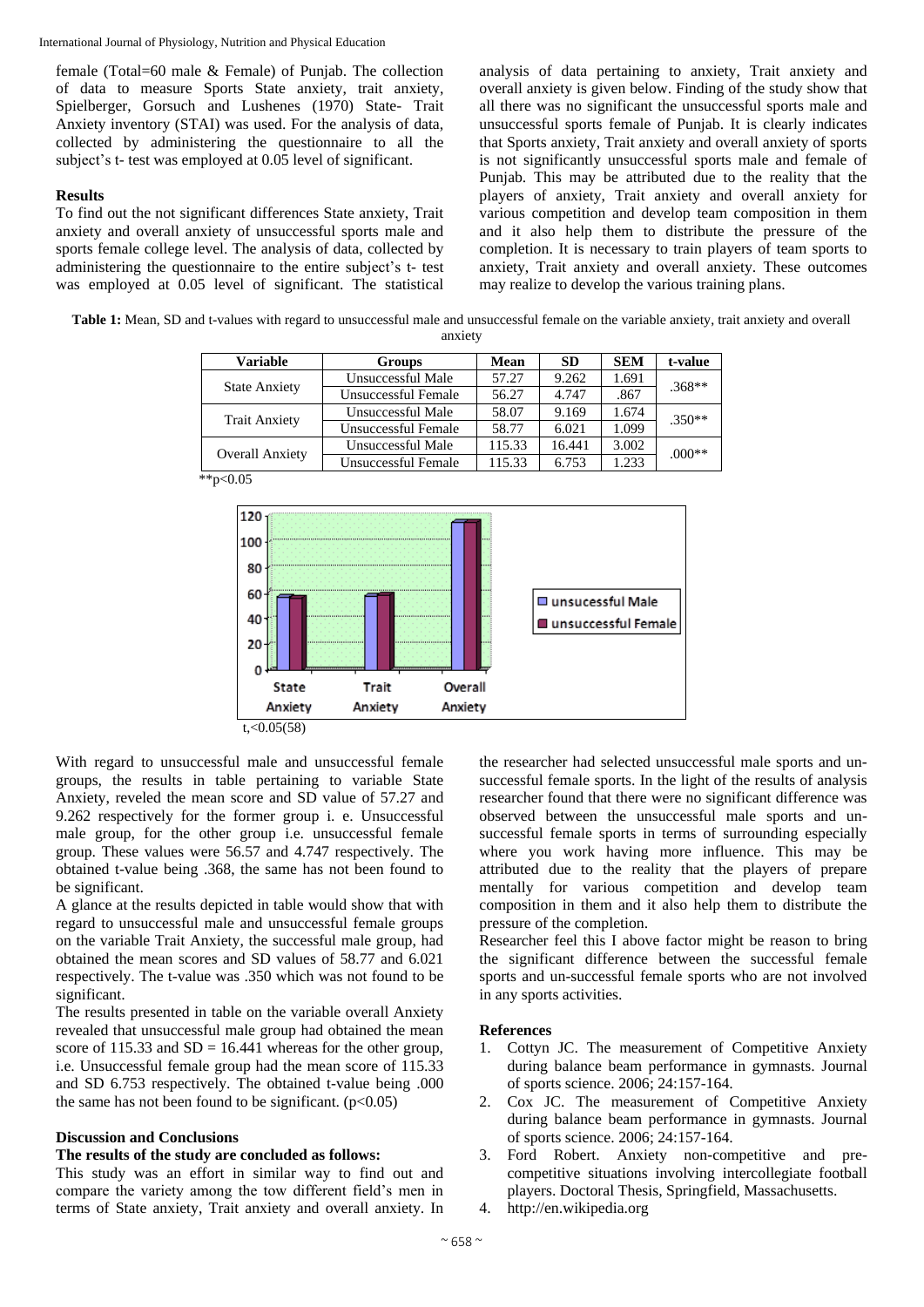International Journal of Physiology, Nutrition and Physical Education

female (Total=60 male & Female) of Punjab. The collection of data to measure Sports State anxiety, trait anxiety, Spielberger, Gorsuch and Lushenes (1970) State- Trait Anxiety inventory (STAI) was used. For the analysis of data, collected by administering the questionnaire to all the subject's t- test was employed at 0.05 level of significant.

# **Results**

To find out the not significant differences State anxiety, Trait anxiety and overall anxiety of unsuccessful sports male and sports female college level. The analysis of data, collected by administering the questionnaire to the entire subject's t- test was employed at 0.05 level of significant. The statistical analysis of data pertaining to anxiety, Trait anxiety and overall anxiety is given below. Finding of the study show that all there was no significant the unsuccessful sports male and unsuccessful sports female of Punjab. It is clearly indicates that Sports anxiety, Trait anxiety and overall anxiety of sports is not significantly unsuccessful sports male and female of Punjab. This may be attributed due to the reality that the players of anxiety, Trait anxiety and overall anxiety for various competition and develop team composition in them and it also help them to distribute the pressure of the completion. It is necessary to train players of team sports to anxiety, Trait anxiety and overall anxiety. These outcomes may realize to develop the various training plans.

**Table 1:** Mean, SD and t-values with regard to unsuccessful male and unsuccessful female on the variable anxiety, trait anxiety and overall anxiety

| Variable               | <b>Groups</b>       | <b>Mean</b> | <b>SD</b> | <b>SEM</b> | t-value  |
|------------------------|---------------------|-------------|-----------|------------|----------|
| <b>State Anxiety</b>   | Unsuccessful Male   | 57.27       | 9.262     | 1.691      | $.368**$ |
|                        | Unsuccessful Female | 56.27       | 4.747     | .867       |          |
| <b>Trait Anxiety</b>   | Unsuccessful Male   | 58.07       | 9.169     | 1.674      | $.350**$ |
|                        | Unsuccessful Female | 58.77       | 6.021     | 1.099      |          |
| <b>Overall Anxiety</b> | Unsuccessful Male   | 115.33      | 16.441    | 3.002      | $.000**$ |
|                        | Unsuccessful Female | 115.33      | 6.753     | 1.233      |          |

 $*p<0.05$ 



With regard to unsuccessful male and unsuccessful female groups, the results in table pertaining to variable State Anxiety, reveled the mean score and SD value of 57.27 and 9.262 respectively for the former group i. e. Unsuccessful male group, for the other group i.e. unsuccessful female group. These values were 56.57 and 4.747 respectively. The obtained t-value being .368, the same has not been found to be significant.

A glance at the results depicted in table would show that with regard to unsuccessful male and unsuccessful female groups on the variable Trait Anxiety, the successful male group, had obtained the mean scores and SD values of 58.77 and 6.021 respectively. The t-value was .350 which was not found to be significant.

The results presented in table on the variable overall Anxiety revealed that unsuccessful male group had obtained the mean score of 115.33 and  $SD = 16.441$  whereas for the other group, i.e. Unsuccessful female group had the mean score of 115.33 and SD 6.753 respectively. The obtained t-value being .000 the same has not been found to be significant.  $(p<0.05)$ 

# **Discussion and Conclusions**

# **The results of the study are concluded as follows:**

This study was an effort in similar way to find out and compare the variety among the tow different field's men in terms of State anxiety, Trait anxiety and overall anxiety. In

the researcher had selected unsuccessful male sports and unsuccessful female sports. In the light of the results of analysis researcher found that there were no significant difference was observed between the unsuccessful male sports and unsuccessful female sports in terms of surrounding especially where you work having more influence. This may be attributed due to the reality that the players of prepare mentally for various competition and develop team composition in them and it also help them to distribute the pressure of the completion.

Researcher feel this I above factor might be reason to bring the significant difference between the successful female sports and un-successful female sports who are not involved in any sports activities.

### **References**

- 1. Cottyn JC. The measurement of Competitive Anxiety during balance beam performance in gymnasts. Journal of sports science. 2006; 24:157-164.
- 2. Cox JC. The measurement of Competitive Anxiety during balance beam performance in gymnasts. Journal of sports science. 2006; 24:157-164.
- 3. Ford Robert. Anxiety non-competitive and precompetitive situations involving intercollegiate football players. Doctoral Thesis, Springfield, Massachusetts.
- 4. http://en.wikipedia.org